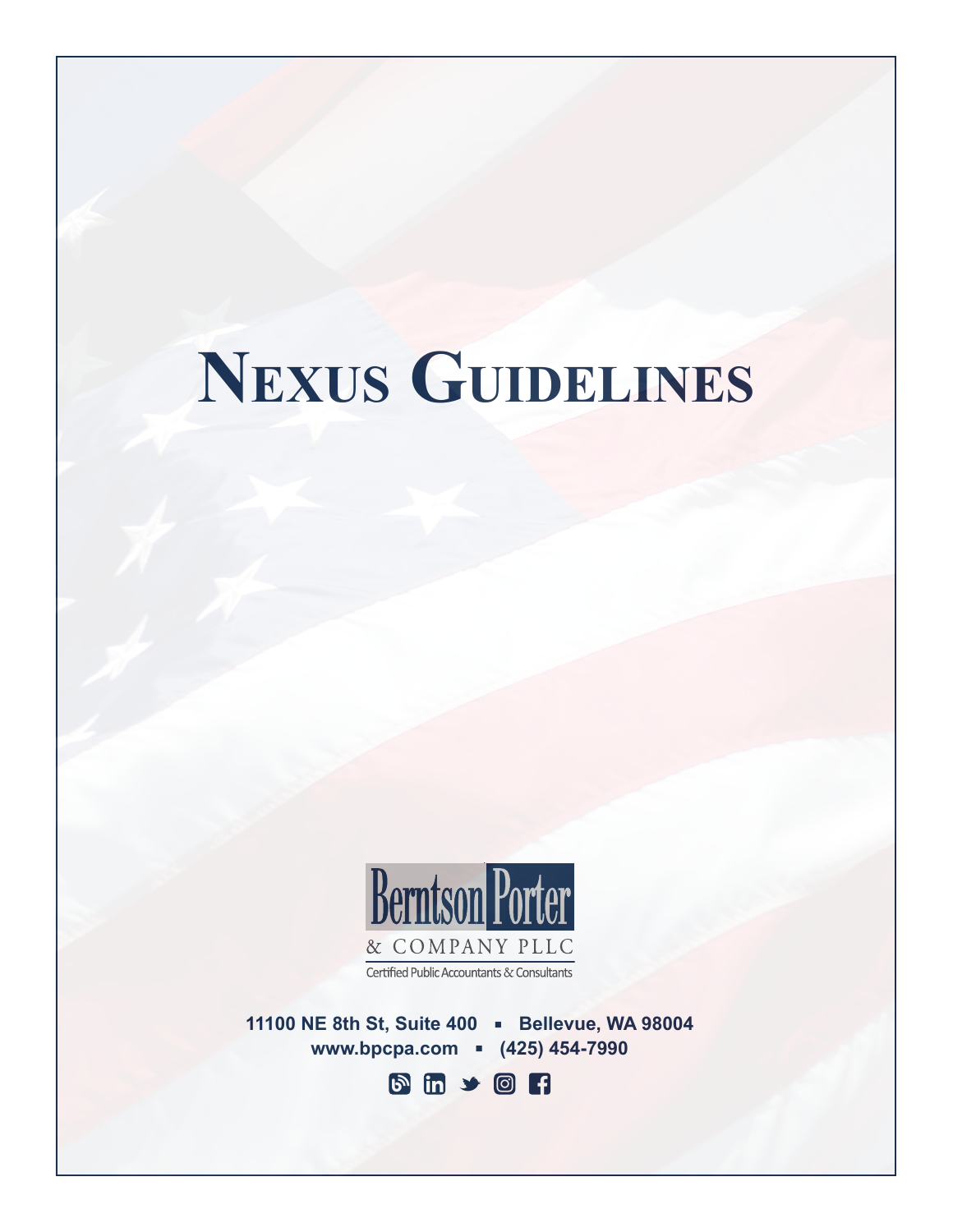# **Nexus Guidelines**



Certified Public Accountants & Consultants

11100 NE 8th St, Suite 400 - Bellevue, WA 98004 **www.bpcpa.com • (425) 454-7990** 

**b** m y o r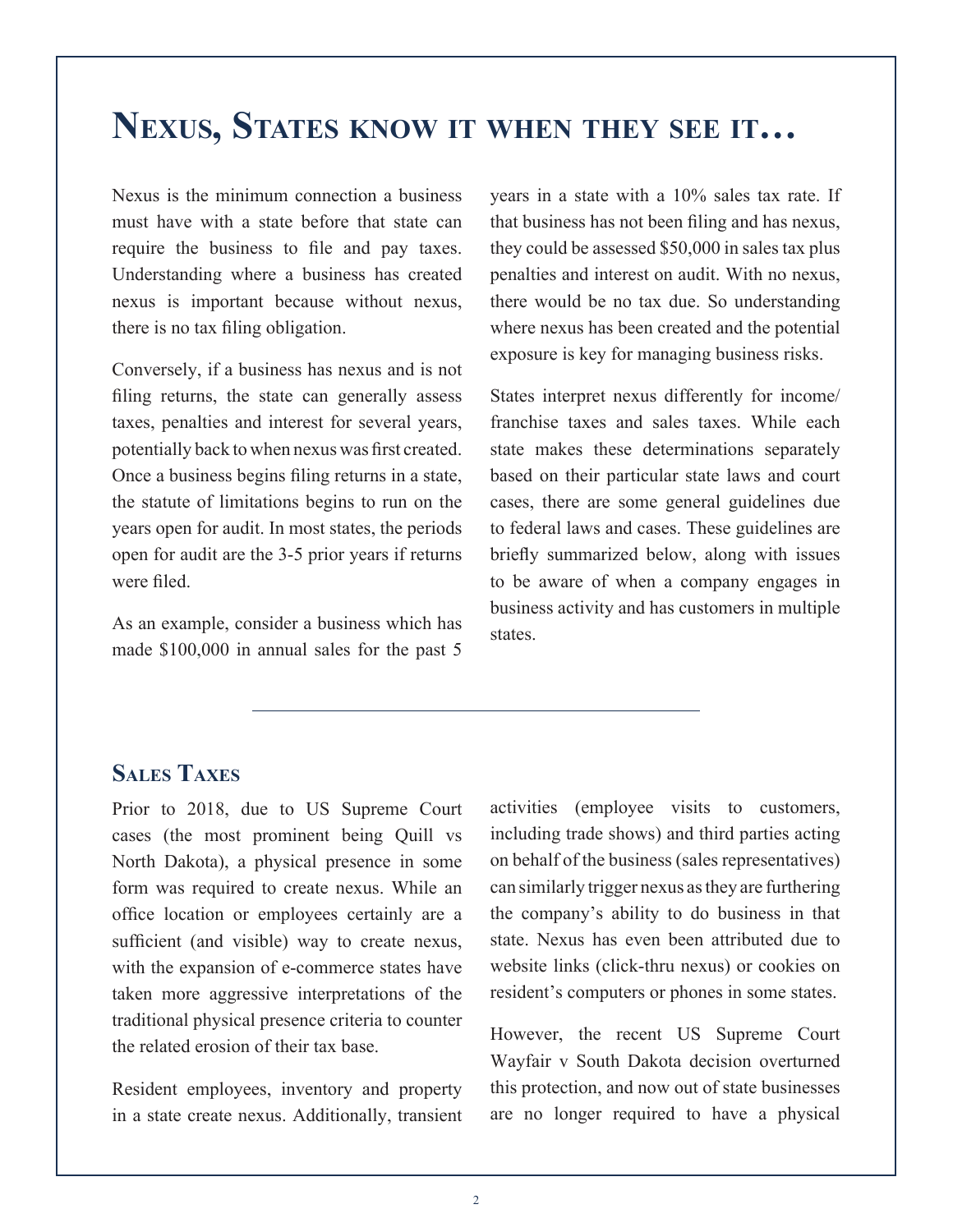# **Nexus, States know it when they see it…**

Nexus is the minimum connection a business must have with a state before that state can require the business to file and pay taxes. Understanding where a business has created nexus is important because without nexus, there is no tax filing obligation.

Conversely, if a business has nexus and is not filing returns, the state can generally assess taxes, penalties and interest for several years, potentially back to when nexus was first created. Once a business begins filing returns in a state, the statute of limitations begins to run on the years open for audit. In most states, the periods open for audit are the 3-5 prior years if returns were filed.

As an example, consider a business which has made \$100,000 in annual sales for the past 5 years in a state with a 10% sales tax rate. If that business has not been filing and has nexus, they could be assessed \$50,000 in sales tax plus penalties and interest on audit. With no nexus, there would be no tax due. So understanding where nexus has been created and the potential exposure is key for managing business risks.

States interpret nexus differently for income/ franchise taxes and sales taxes. While each state makes these determinations separately based on their particular state laws and court cases, there are some general guidelines due to federal laws and cases. These guidelines are briefly summarized below, along with issues to be aware of when a company engages in business activity and has customers in multiple states.

## **Sales Taxes**

Prior to 2018, due to US Supreme Court cases (the most prominent being Quill vs North Dakota), a physical presence in some form was required to create nexus. While an office location or employees certainly are a sufficient (and visible) way to create nexus, with the expansion of e-commerce states have taken more aggressive interpretations of the traditional physical presence criteria to counter the related erosion of their tax base.

Resident employees, inventory and property in a state create nexus. Additionally, transient activities (employee visits to customers, including trade shows) and third parties acting on behalf of the business (sales representatives) can similarly trigger nexus as they are furthering the company's ability to do business in that state. Nexus has even been attributed due to website links (click-thru nexus) or cookies on resident's computers or phones in some states.

However, the recent US Supreme Court Wayfair v South Dakota decision overturned this protection, and now out of state businesses are no longer required to have a physical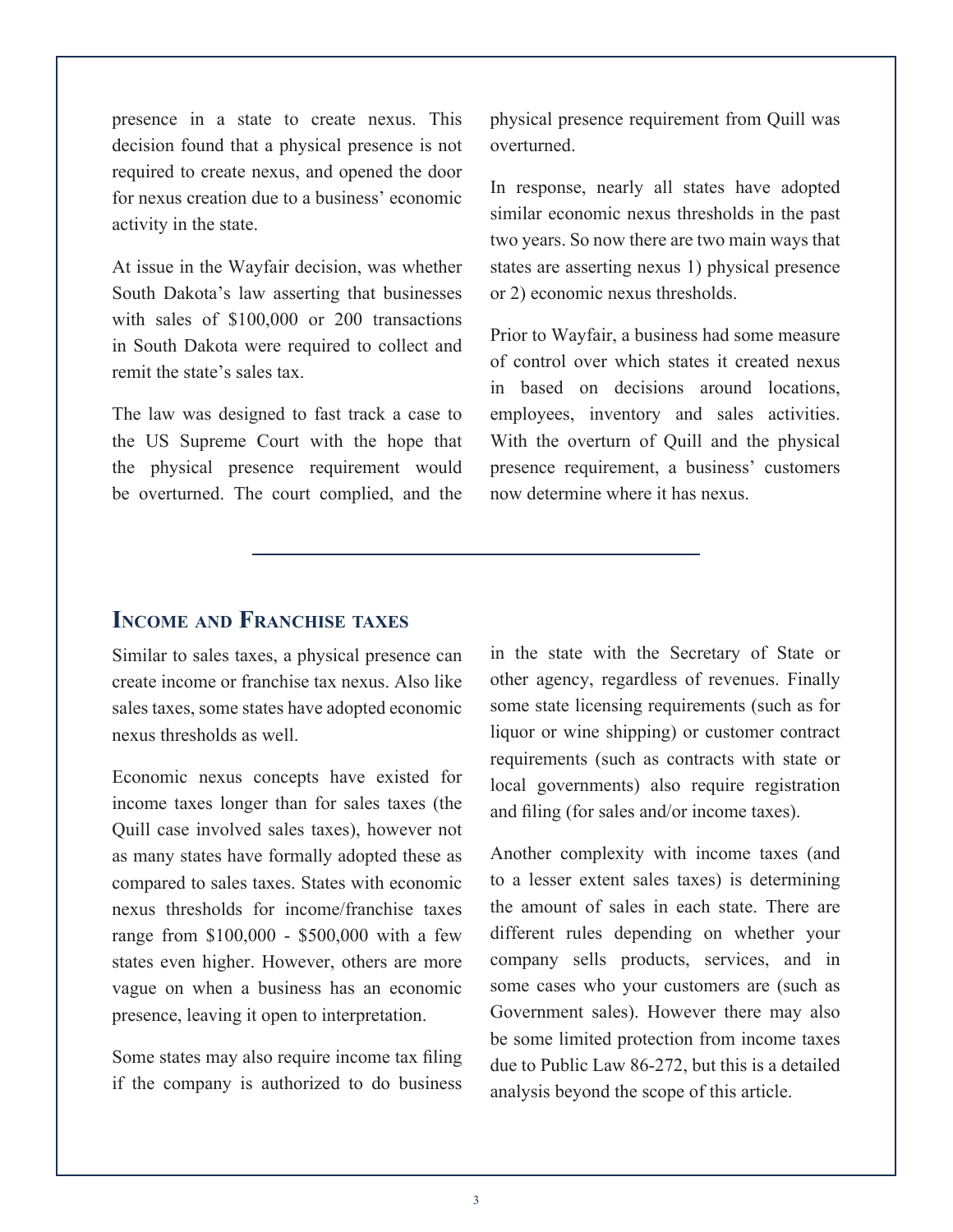presence in a state to create nexus. This decision found that a physical presence is not required to create nexus, and opened the door for nexus creation due to a business' economic activity in the state.

At issue in the Wayfair decision, was whether South Dakota's law asserting that businesses with sales of \$100,000 or 200 transactions in South Dakota were required to collect and remit the state's sales tax.

The law was designed to fast track a case to the US Supreme Court with the hope that the physical presence requirement would be overturned. The court complied, and the

physical presence requirement from Quill was overturned.

In response, nearly all states have adopted similar economic nexus thresholds in the past two years. So now there are two main ways that states are asserting nexus 1) physical presence or 2) economic nexus thresholds.

Prior to Wayfair, a business had some measure of control over which states it created nexus in based on decisions around locations employees, inventory and sales activities. With the overturn of Quill and the physical presence requirement, a business' customers now determine where it has nexus.

#### **Income and Franchise taxes**

Similar to sales taxes, a physical presence can create income or franchise tax nexus. Also like sales taxes, some states have adopted economic nexus thresholds as well.

Economic nexus concepts have existed for income taxes longer than for sales taxes (the Quill case involved sales taxes), however not as many states have formally adopted these as compared to sales taxes. States with economic nexus thresholds for income/franchise taxes range from \$100,000 - \$500,000 with a few states even higher. However, others are more vague on when a business has an economic presence, leaving it open to interpretation.

Some states may also require income tax filing if the company is authorized to do business in the state with the Secretary of State or other agency, regardless of revenues. Finally some state licensing requirements (such as for liquor or wine shipping) or customer contract requirements (such as contracts with state or local governments) also require registration and filing (for sales and/or income taxes).

Another complexity with income taxes (and to a lesser extent sales taxes) is determining the amount of sales in each state. There are different rules depending on whether your company sells products, services, and in some cases who your customers are (such as Government sales). However there may also be some limited protection from income taxes due to Public Law 86-272, but this is a detailed analysis beyond the scope of this article.